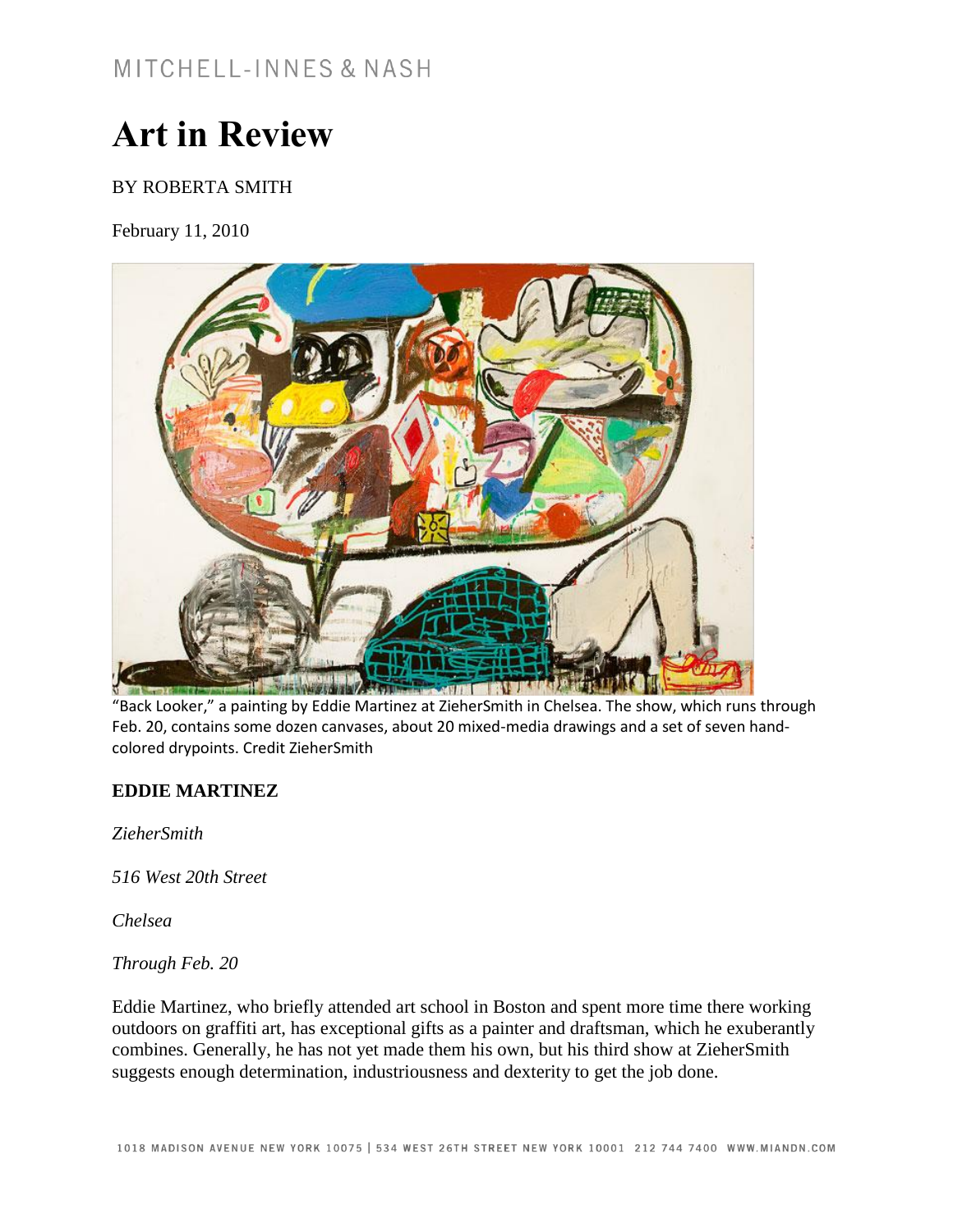## **Art in Review**

## BY ROBERTA SMITH

February 11, 2010



"Back Looker," a painting by Eddie Martinez at ZieherSmith in Chelsea. The show, which runs through Feb. 20, contains some dozen canvases, about 20 mixed-media drawings and a set of seven handcolored drypoints. Credit ZieherSmith

## **EDDIE MARTINEZ**

*ZieherSmith*

*516 West 20th Street*

*Chelsea*

*Through Feb. 20*

Eddie Martinez, who briefly attended art school in Boston and spent more time there working outdoors on graffiti art, has exceptional gifts as a painter and draftsman, which he exuberantly combines. Generally, he has not yet made them his own, but his third show at ZieherSmith suggests enough determination, industriousness and dexterity to get the job done.